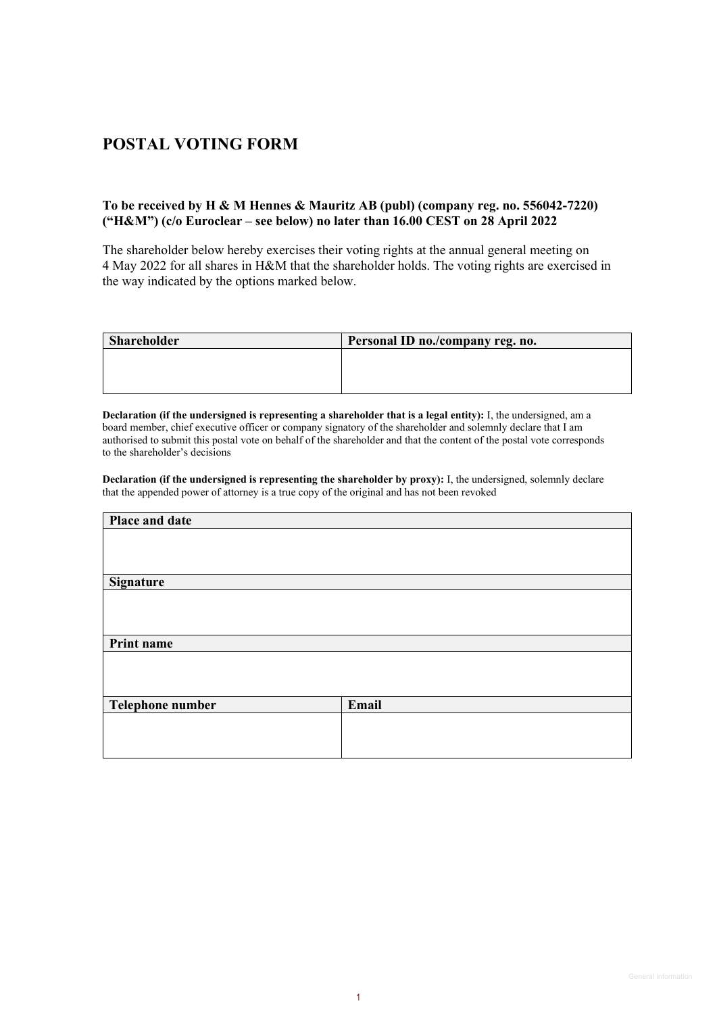## **POSTAL VOTING FORM**

## **To be received by H & M Hennes & Mauritz AB (publ) (company reg. no. 556042-7220) ("H&M") (c/o Euroclear – see below) no later than 16.00 CEST on 28 April 2022**

The shareholder below hereby exercises their voting rights at the annual general meeting on 4 May 2022 for all shares in H&M that the shareholder holds. The voting rights are exercised in the way indicated by the options marked below.

| <b>Shareholder</b> | Personal ID no./company reg. no. |
|--------------------|----------------------------------|
|                    |                                  |
|                    |                                  |
|                    |                                  |

**Declaration (if the undersigned is representing a shareholder that is a legal entity):** I, the undersigned, am a board member, chief executive officer or company signatory of the shareholder and solemnly declare that I am authorised to submit this postal vote on behalf of the shareholder and that the content of the postal vote corresponds to the shareholder's decisions

**Declaration (if the undersigned is representing the shareholder by proxy):** I, the undersigned, solemnly declare that the appended power of attorney is a true copy of the original and has not been revoked

| Place and date   |       |
|------------------|-------|
|                  |       |
|                  |       |
|                  |       |
| <b>Signature</b> |       |
|                  |       |
|                  |       |
|                  |       |
| Print name       |       |
|                  |       |
|                  |       |
|                  |       |
| Telephone number | Email |
|                  |       |
|                  |       |
|                  |       |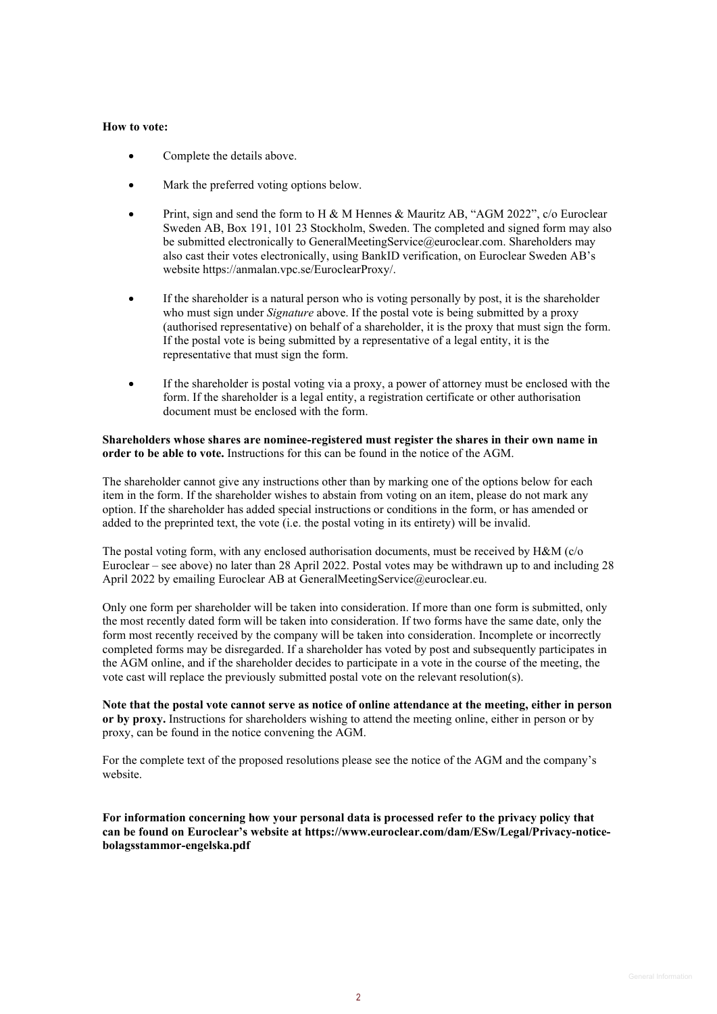## **How to vote:**

- Complete the details above.
- Mark the preferred voting options below.
- Print, sign and send the form to H & M Hennes & Mauritz AB, "AGM 2022", c/o Euroclear Sweden AB, Box 191, 101 23 Stockholm, Sweden. The completed and signed form may also be submitted electronically to GeneralMeetingService@euroclear.com. Shareholders may also cast their votes electronically, using BankID verification, on Euroclear Sweden AB's website https://anmalan.vpc.se/EuroclearProxy/.
- If the shareholder is a natural person who is voting personally by post, it is the shareholder who must sign under *Signature* above. If the postal vote is being submitted by a proxy (authorised representative) on behalf of a shareholder, it is the proxy that must sign the form. If the postal vote is being submitted by a representative of a legal entity, it is the representative that must sign the form.
- If the shareholder is postal voting via a proxy, a power of attorney must be enclosed with the form. If the shareholder is a legal entity, a registration certificate or other authorisation document must be enclosed with the form.

**Shareholders whose shares are nominee-registered must register the shares in their own name in order to be able to vote.** Instructions for this can be found in the notice of the AGM.

The shareholder cannot give any instructions other than by marking one of the options below for each item in the form. If the shareholder wishes to abstain from voting on an item, please do not mark any option. If the shareholder has added special instructions or conditions in the form, or has amended or added to the preprinted text, the vote (i.e. the postal voting in its entirety) will be invalid.

The postal voting form, with any enclosed authorisation documents, must be received by  $H\&M$  (c/o Euroclear – see above) no later than 28 April 2022. Postal votes may be withdrawn up to and including 28 April 2022 by emailing Euroclear AB at GeneralMeetingService@euroclear.eu.

Only one form per shareholder will be taken into consideration. If more than one form is submitted, only the most recently dated form will be taken into consideration. If two forms have the same date, only the form most recently received by the company will be taken into consideration. Incomplete or incorrectly completed forms may be disregarded. If a shareholder has voted by post and subsequently participates in the AGM online, and if the shareholder decides to participate in a vote in the course of the meeting, the vote cast will replace the previously submitted postal vote on the relevant resolution(s).

**Note that the postal vote cannot serve as notice of online attendance at the meeting, either in person or by proxy.** Instructions for shareholders wishing to attend the meeting online, either in person or by proxy, can be found in the notice convening the AGM.

For the complete text of the proposed resolutions please see the notice of the AGM and the company's website.

**For information concerning how your personal data is processed refer to the privacy policy that can be found on Euroclear's website at https://www.euroclear.com/dam/ESw/Legal/Privacy-noticebolagsstammor-engelska.pdf**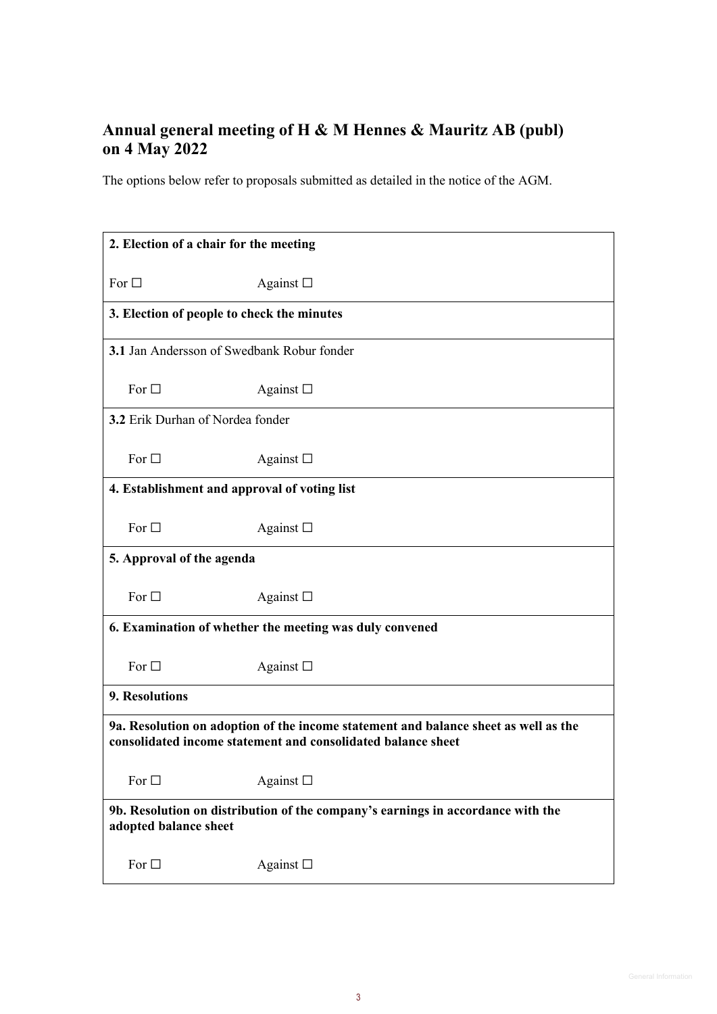## **Annual general meeting of H & M Hennes & Mauritz AB (publ) on 4 May 2022**

The options below refer to proposals submitted as detailed in the notice of the AGM.

| 2. Election of a chair for the meeting                                                                                                              |                   |  |
|-----------------------------------------------------------------------------------------------------------------------------------------------------|-------------------|--|
| For $\square$                                                                                                                                       | Against $\square$ |  |
| 3. Election of people to check the minutes                                                                                                          |                   |  |
| 3.1 Jan Andersson of Swedbank Robur fonder                                                                                                          |                   |  |
| For $\square$                                                                                                                                       | Against $\square$ |  |
| 3.2 Erik Durhan of Nordea fonder                                                                                                                    |                   |  |
| For $\square$                                                                                                                                       | Against $\square$ |  |
| 4. Establishment and approval of voting list                                                                                                        |                   |  |
| For $\square$                                                                                                                                       | Against $\square$ |  |
| 5. Approval of the agenda                                                                                                                           |                   |  |
| For $\square$                                                                                                                                       | Against $\square$ |  |
| 6. Examination of whether the meeting was duly convened                                                                                             |                   |  |
| For $\square$                                                                                                                                       | Against $\square$ |  |
| 9. Resolutions                                                                                                                                      |                   |  |
| 9a. Resolution on adoption of the income statement and balance sheet as well as the<br>consolidated income statement and consolidated balance sheet |                   |  |
| For $\square$                                                                                                                                       | Against $\square$ |  |
| 9b. Resolution on distribution of the company's earnings in accordance with the<br>adopted balance sheet                                            |                   |  |
| For $\square$                                                                                                                                       | Against $\square$ |  |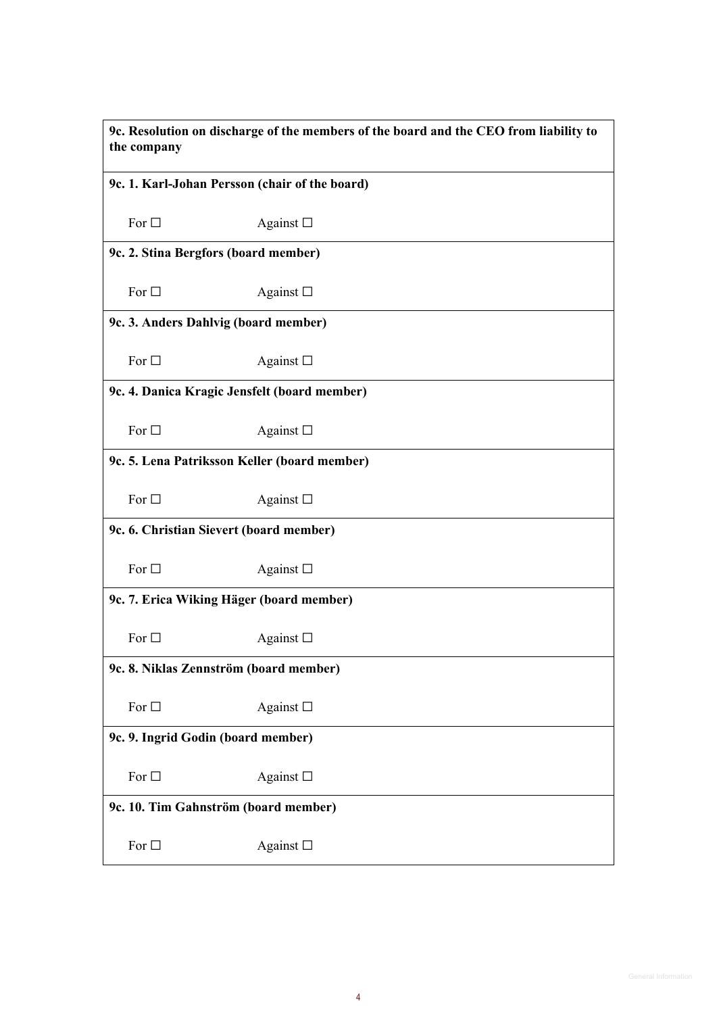| 9c. Resolution on discharge of the members of the board and the CEO from liability to<br>the company |                                                |  |  |
|------------------------------------------------------------------------------------------------------|------------------------------------------------|--|--|
|                                                                                                      | 9c. 1. Karl-Johan Persson (chair of the board) |  |  |
| For $\square$                                                                                        | Against $\square$                              |  |  |
|                                                                                                      | 9c. 2. Stina Bergfors (board member)           |  |  |
| For $\square$                                                                                        | Against $\square$                              |  |  |
|                                                                                                      | 9c. 3. Anders Dahlvig (board member)           |  |  |
| For $\square$                                                                                        | Against $\square$                              |  |  |
| 9c. 4. Danica Kragic Jensfelt (board member)                                                         |                                                |  |  |
| For $\Box$                                                                                           | Against $\square$                              |  |  |
| 9c. 5. Lena Patriksson Keller (board member)                                                         |                                                |  |  |
| For $\square$                                                                                        | Against $\square$                              |  |  |
|                                                                                                      | 9c. 6. Christian Sievert (board member)        |  |  |
| For $\square$                                                                                        | Against $\square$                              |  |  |
|                                                                                                      | 9c. 7. Erica Wiking Häger (board member)       |  |  |
| For $\square$                                                                                        | Against $\square$                              |  |  |
| 9c. 8. Niklas Zennström (board member)                                                               |                                                |  |  |
| For $\square$                                                                                        | Against $\square$                              |  |  |
| 9c. 9. Ingrid Godin (board member)                                                                   |                                                |  |  |
| For $\square$                                                                                        | Against $\square$                              |  |  |
| 9c. 10. Tim Gahnström (board member)                                                                 |                                                |  |  |
| For $\Box$                                                                                           | Against $\square$                              |  |  |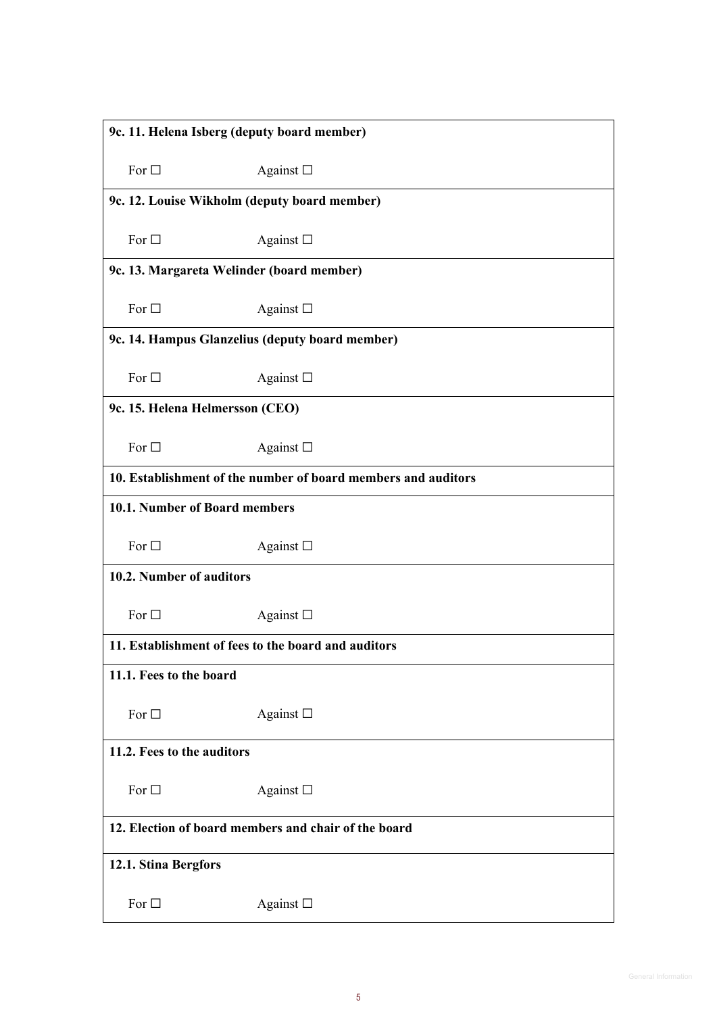| 9c. 11. Helena Isberg (deputy board member)                   |                                                 |  |
|---------------------------------------------------------------|-------------------------------------------------|--|
| For $\square$                                                 | Against $\square$                               |  |
|                                                               | 9c. 12. Louise Wikholm (deputy board member)    |  |
| For $\square$                                                 | Against $\square$                               |  |
|                                                               | 9c. 13. Margareta Welinder (board member)       |  |
| For $\Box$                                                    | Against $\square$                               |  |
|                                                               | 9c. 14. Hampus Glanzelius (deputy board member) |  |
| For $\square$                                                 | Against $\square$                               |  |
| 9c. 15. Helena Helmersson (CEO)                               |                                                 |  |
| For $\square$                                                 | Against $\square$                               |  |
| 10. Establishment of the number of board members and auditors |                                                 |  |
| 10.1. Number of Board members                                 |                                                 |  |
| For $\square$                                                 | Against $\square$                               |  |
| 10.2. Number of auditors                                      |                                                 |  |
| For $\Box$                                                    | Against $\square$                               |  |
| 11. Establishment of fees to the board and auditors           |                                                 |  |
| 11.1. Fees to the board                                       |                                                 |  |
| For $\Box$                                                    | Against $\square$                               |  |
| 11.2. Fees to the auditors                                    |                                                 |  |
| For $\square$                                                 | Against $\square$                               |  |
| 12. Election of board members and chair of the board          |                                                 |  |
| 12.1. Stina Bergfors                                          |                                                 |  |
| For $\square$                                                 | Against $\Box$                                  |  |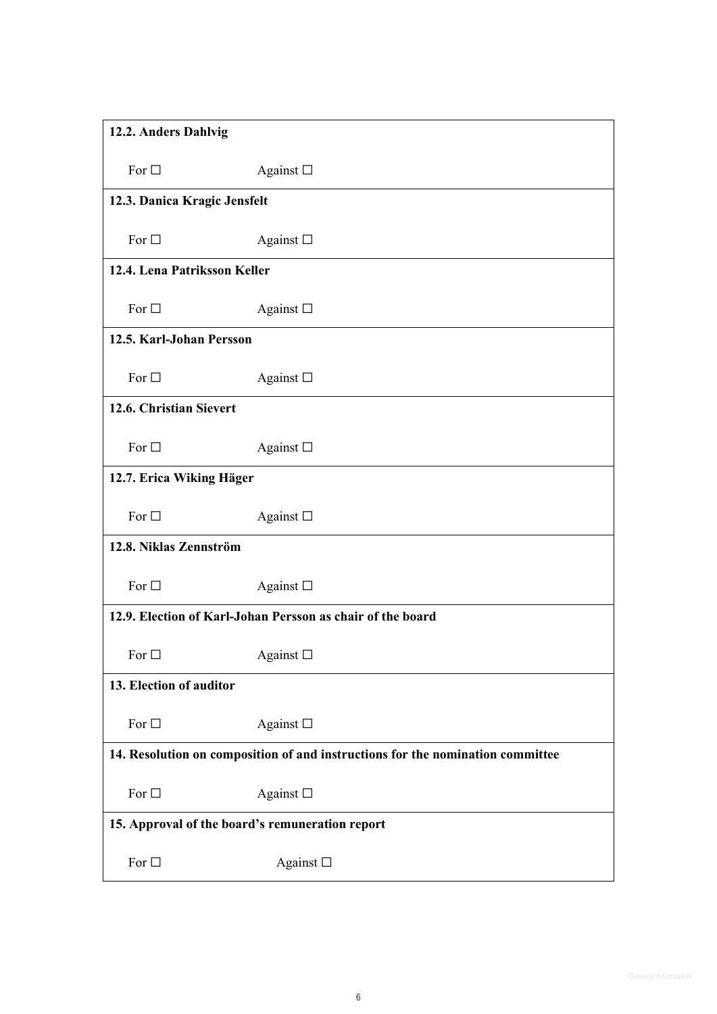| 12.2. Anders Dahlvig                                                           |                   |  |
|--------------------------------------------------------------------------------|-------------------|--|
| For $\square$                                                                  | Against $\square$ |  |
| 12.3. Danica Kragic Jensfelt                                                   |                   |  |
| For $\square$                                                                  | Against $\square$ |  |
| 12.4. Lena Patriksson Keller                                                   |                   |  |
| For $\square$                                                                  | Against $\square$ |  |
| 12.5. Karl-Johan Persson                                                       |                   |  |
| For $\square$                                                                  | Against $\square$ |  |
| 12.6. Christian Sievert                                                        |                   |  |
| For $\square$                                                                  | Against $\square$ |  |
| 12.7. Erica Wiking Häger                                                       |                   |  |
| For $\square$                                                                  | Against $\square$ |  |
| 12.8. Niklas Zennström                                                         |                   |  |
| For $\square$                                                                  | Against $\square$ |  |
| 12.9. Election of Karl-Johan Persson as chair of the board                     |                   |  |
| For $\square$                                                                  | Against $\Box$    |  |
| 13. Election of auditor                                                        |                   |  |
| For $\Box$                                                                     | Against $\square$ |  |
| 14. Resolution on composition of and instructions for the nomination committee |                   |  |
| For $\Box$                                                                     | Against $\square$ |  |
| 15. Approval of the board's remuneration report                                |                   |  |
| For $\Box$                                                                     | Against $\square$ |  |